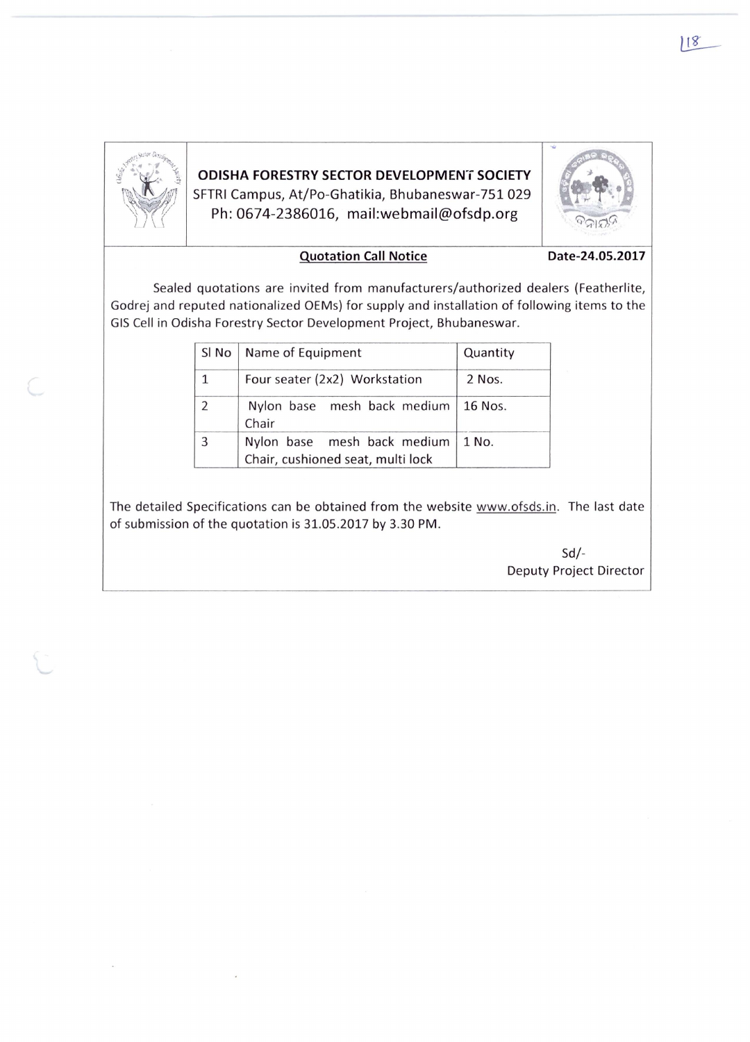

ODISHA FORESTRY SECTOR DEVELOPMENT SOCIETY SFTRI Campus, At/Po-Ghatikia, Bhubaneswar-751 029  $\mathbb{P}^{\text{SFRI}}_{\text{Pb: 0674-2386016, mail:webmail@ofsdp.org}}$  . The off of the Decay of the Decay of the Decay of the Decay of the Decay of the Decay of the Decay of the original set of the state of the state of the state of the state



## Quotation Call Notice Date-24.05.2017

Sealed quotations are invited from manufacturers/authorized dealers (Featherlite, Godrej and reputed nationalized OEMs) for supply and installation of following items to the GIS Cell in Odisha Forestry Sector Development Project, Bhubaneswar.

| Sl No                    | Name of Equipment                                                | Quantity |
|--------------------------|------------------------------------------------------------------|----------|
| $\mathbf{1}$             | Four seater (2x2) Workstation                                    | 2 Nos.   |
| $\overline{\phantom{a}}$ | Nylon base mesh back medium<br>Chair                             | 16 Nos.  |
| 3                        | Nylon base mesh back medium<br>Chair, cushioned seat, multi lock | 1 No.    |

The detailed Specifications can be obtained from the website www.ofsds.in. The last date of submission of the quotation is 31.05.2017 by 3.30 PM .

> Sd/- Deputy Project Director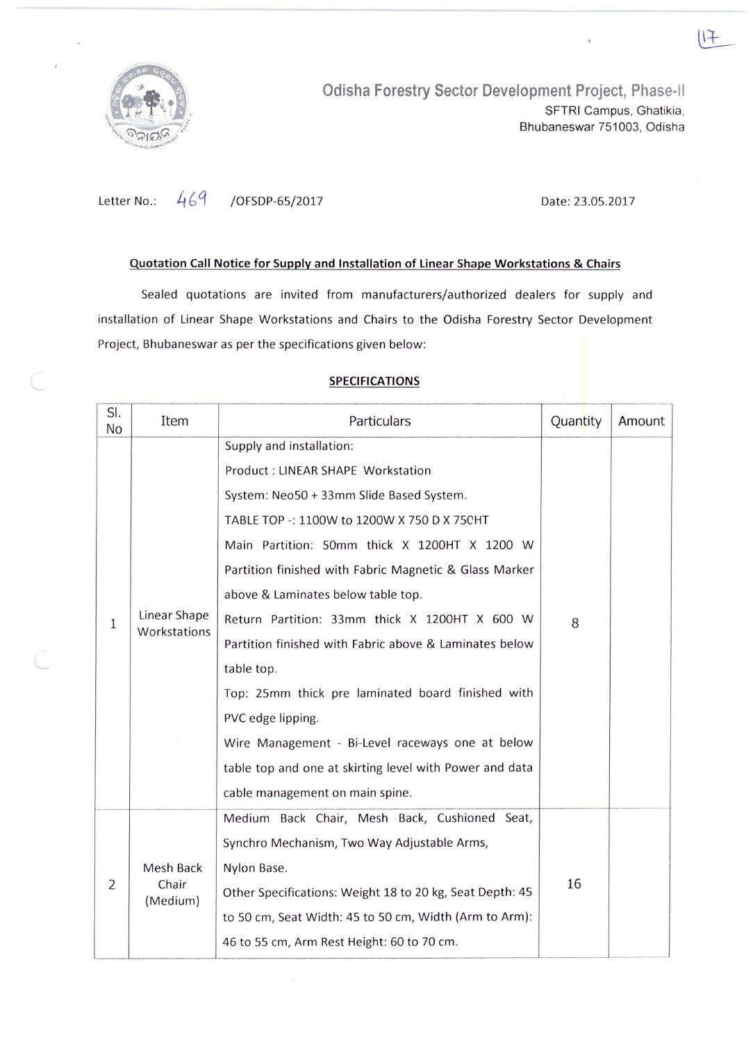

Letter No.: 469 / OFSDP-65/2017

Date: 23.05.2017

## Quotation Call Notice for Supply and Installation of linear Shape Workstations & Chairs

Sealed quotations are invited from manufacturers/authorized dealers for supply and installation of Linear Shape Workstations and Chairs to the Odisha Forestry Sector Development Project, Bhubaneswar as per the specifications given below:

## 51. No 1 2 Item Particulars Supply and installation: Product: LINEAR SHAPE Workstation System: Neo50 + 33mm Slide Based System. TABLE TOP -: 1l00W to 1200W X 750 D X 75CHT Main Partition: 50mm thick X 1200HT X 1200 W Partition finished with Fabric Magnetic & Glass Marker above & Laminates below table top. Linear Shape | Return Partition: 33mm thick X 1200HT X 600 W Workstations Partition finished with Fabric above & Laminates below table top. Top: 25mm thick pre laminated board finished with PVC edge lipping. Wire Management - Bi-Level raceways one at below table top and one at skirting level with Power and data cable management on main spine. Medium Back Chair, Mesh Back, Cushioned Seat, Synchro Mechanism, Two Way Adjustable Arms, Mesh Back | Nylon Base. Chair (Medium) Other Specifications: Weight 18 to 20 kg, Seat Depth: 45 to 50 cm, Seat Width: 45 to 50 cm, Width (Arm to Arm): 46 to 55 cm, Arm Rest Height: 60 to 70 cm. Quantity | Amount 8 16

## SPECIFICATIONS